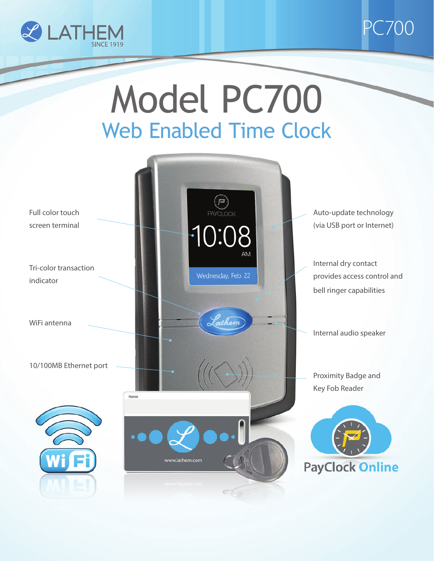



# Model PC700<br>Web Enabled Time Clock